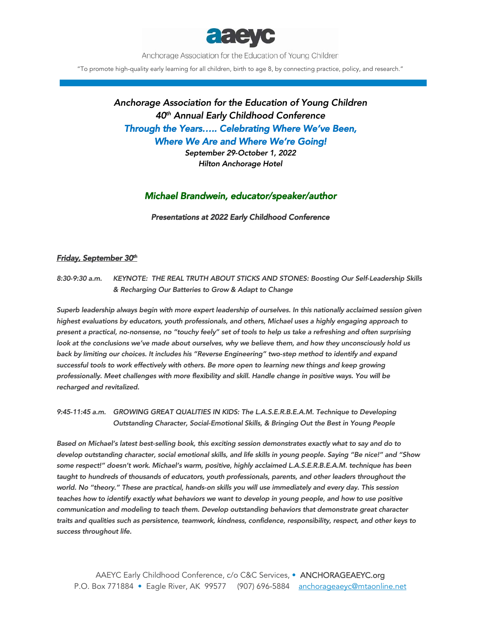

Anchorage Association for the Education of Young Children

"To promote high-quality early learning for all children, birth to age 8, by connecting practice, policy, and research."

# *Anchorage Association for the Education of Young Children 40th Annual Early Childhood Conference Through the Years….. Celebrating Where We've Been, Where We Are and Where We're Going!*

*September 29-October 1, 2022 Hilton Anchorage Hotel* 

## *Michael Brandwein, educator/speaker/author*

*Presentations at 2022 Early Childhood Conference*

### *Friday, September 30th*

*8:30-9:30 a.m. KEYNOTE: THE REAL TRUTH ABOUT STICKS AND STONES: Boosting Our Self-Leadership Skills & Recharging Our Batteries to Grow & Adapt to Change* 

*Superb leadership always begin with more expert leadership of ourselves. In this nationally acclaimed session given highest evaluations by educators, youth professionals, and others, Michael uses a highly engaging approach to present a practical, no-nonsense, no "touchy feely" set of tools to help us take a refreshing and often surprising look at the conclusions we've made about ourselves, why we believe them, and how they unconsciously hold us back by limiting our choices. It includes his "Reverse Engineering" two-step method to identify and expand*  successful tools to work effectively with others. Be more open to learning new things and keep growing *professionally. Meet challenges with more flexibility and skill. Handle change in positive ways. You will be recharged and revitalized.* 

*9:45-11:45 a.m. GROWING GREAT QUALITIES IN KIDS: The L.A.S.E.R.B.E.A.M. Technique to Developing Outstanding Character, Social-Emotional Skills, & Bringing Out the Best in Young People* 

*Based on Michael's latest best-selling book, this exciting session demonstrates exactly what to say and do to develop outstanding character, social emotional skills, and life skills in young people. Saying "Be nice!" and "Show some respect!" doesn't work. Michael's warm, positive, highly acclaimed L.A.S.E.R.B.E.A.M. technique has been taught to hundreds of thousands of educators, youth professionals, parents, and other leaders throughout the world. No "theory." These are practical, hands-on skills you will use immediately and every day. This session teaches how to identify exactly what behaviors we want to develop in young people, and how to use positive communication and modeling to teach them. Develop outstanding behaviors that demonstrate great character traits and qualities such as persistence, teamwork, kindness, confidence, responsibility, respect, and other keys to success throughout life.*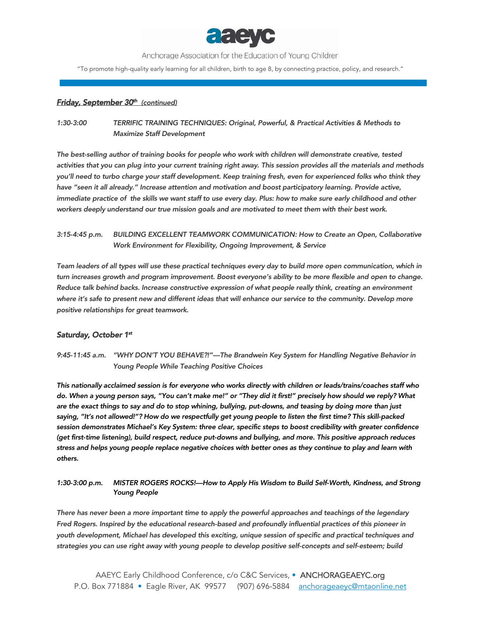

Anchorage Association for the Education of Young Children

"To promote high-quality early learning for all children, birth to age 8, by connecting practice, policy, and research."

#### *Friday, September 30th (continued)*

*1:30-3:00 TERRIFIC TRAINING TECHNIQUES: Original, Powerful, & Practical Activities & Methods to Maximize Staff Development* 

*The best-selling author of training books for people who work with children will demonstrate creative, tested activities that you can plug into your current training right away. This session provides all the materials and methods you'll need to turbo charge your staff development. Keep training fresh, even for experienced folks who think they*  have "seen it all already." Increase attention and motivation and boost participatory learning. Provide active, *immediate practice of the skills we want staff to use every day. Plus: how to make sure early childhood and other workers deeply understand our true mission goals and are motivated to meet them with their best work.* 

*3:15-4:45 p.m. BUILDING EXCELLENT TEAMWORK COMMUNICATION: How to Create an Open, Collaborative Work Environment for Flexibility, Ongoing Improvement, & Service* 

*Team leaders of all types will use these practical techniques every day to build more open communication, which in turn increases growth and program improvement. Boost everyone's ability to be more flexible and open to change. Reduce talk behind backs. Increase constructive expression of what people really think, creating an environment*  where it's safe to present new and different ideas that will enhance our service to the community. Develop more *positive relationships for great teamwork.* 

#### *Saturday, October 1st*

*9:45-11:45 a.m. "WHY DON'T YOU BEHAVE?!"—The Brandwein Key System for Handling Negative Behavior in Young People While Teaching Positive Choices* 

*This nationally acclaimed session is for everyone who works directly with children or leads/trains/coaches staff who do. When a young person says, "You can't make me!" or "They did it first!" precisely how should we reply? What are the exact things to say and do to stop whining, bullying, put-downs, and teasing by doing more than just saying, "It's not allowed!"? How do we respectfully get young people to listen the first time? This skill-packed session demonstrates Michael's Key System: three clear, specific steps to boost credibility with greater confidence (get first-time listening), build respect, reduce put-downs and bullying, and more. This positive approach reduces stress and helps young people replace negative choices with better ones as they continue to play and learn with others.* 

*1:30-3:00 p.m. MISTER ROGERS ROCKS!—How to Apply His Wisdom to Build Self-Worth, Kindness, and Strong Young People* 

*There has never been a more important time to apply the powerful approaches and teachings of the legendary Fred Rogers. Inspired by the educational research-based and profoundly influential practices of this pioneer in youth development, Michael has developed this exciting, unique session of specific and practical techniques and strategies you can use right away with young people to develop positive self-concepts and self-esteem; build*